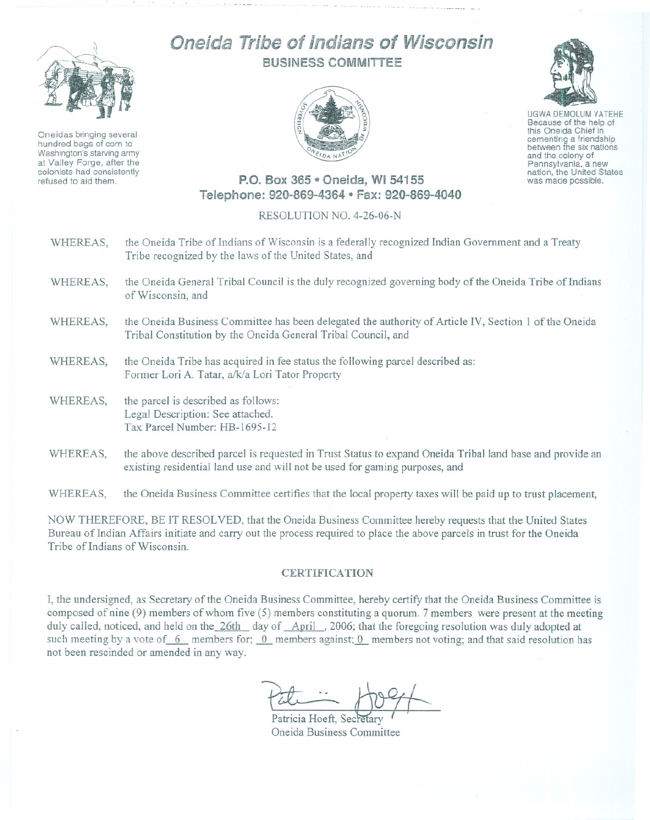

Oneidas bringing several hundred bags of corn to Washington's starving army at Valley Forge, after the colonists had consistently refused to aid them.

## Oneida Tribe of Indians of Wisconsin BUSINESS COMMITTEE





UGWA DEMOLUM YATEHE Because of the help of this Oneida Chief in cementing <sup>a</sup> friendship between the six nations and the colony of<br>Pennsylvania, a new nation, the United States was made possible.

## P.O. Box 365 · Oneida, WI 54155 Telephone: 920-869-4364 • Fax: 920-869-4040

## RESOLUTION NO. 4-26~06-N

- WHEREAS, the Oneida Tribe of Indians of Wisconsin is a federally recognized Indian Government and a Treaty Tribe recognized by the laws of the United States, and
- WHEREAS, the Oneida General Tribal Council is the duly recognized governing body of the Oneida Tribe of Indians of Wisconsin, and
- WHEREAS, the Oneida Business Committee has been delegated the authority of Article IV, Section I of the Oneida Tribal Constitution by the Oneida General Tribal Council, and
- WHEREAS, the Oneida Tribe has acquired in fee status the following parcel described as: Former Lori A. Tatar, a/k/a Lori Tator Property
- WHEREAS, the parcel is described as follows: Legal Description: See attached. Tax Parcel Number: HB-1695-12
- WHEREAS, the above described parcel is requested in Trust Status to expand Oneida Tribal land base and provide an existing residential land use and will not be used for gaming purposes, and

WHEREAS, the Oneida Business Committee certifies that the local property taxes will be paid up to trust placement,

NOW THEREFORE, BE IT RESOLVED, that the Oneida Business Committee hereby requests that the United States Bureau of Indian Affairs initiate and carry out the process required to place the above parcels in trust for the Oneida Tribe of Indians of Wisconsin.

## **CERTIFICATION**

I, the undersigned, as Secretary of the Oneida Business Committee, hereby certify that the Oneida Business Committee is composed of nine (9) members of whom five (5) members constituting a quorum. 7 members were present at the meeting duly cailed, noticed, and held on the 26th day of April, 2006; that the foregoing resolution was duly adopted at such meeting by a vote of 6 members for; 0 members against; 0 members not voting; and that said resolution has not been rescinded or amended in any way.

Patricia Hoeft, Secretary Oneida Business Committee